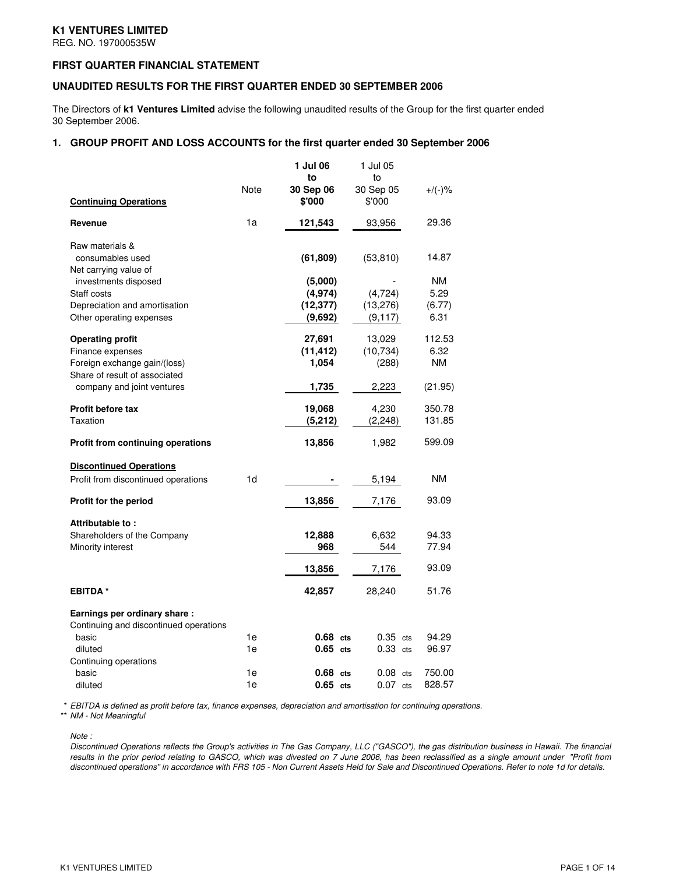# **K1 VENTURES LIMITED**

REG. NO. 197000535W

## **FIRST QUARTER FINANCIAL STATEMENT**

## **UNAUDITED RESULTS FOR THE FIRST QUARTER ENDED 30 SEPTEMBER 2006**

The Directors of **k1 Ventures Limited** advise the following unaudited results of the Group for the first quarter ended 30 September 2006.

### **1. GROUP PROFIT AND LOSS ACCOUNTS for the first quarter ended 30 September 2006**

| <b>Continuing Operations</b>                                                                                                               | Note     | 1 Jul 06<br>to<br>30 Sep 06<br>\$'000       | 1 Jul 05<br>to<br>30 Sep 05<br>\$'000 | $+/(-)$ %                       |
|--------------------------------------------------------------------------------------------------------------------------------------------|----------|---------------------------------------------|---------------------------------------|---------------------------------|
| Revenue                                                                                                                                    | 1a       | 121,543                                     | 93,956                                | 29.36                           |
| Raw materials &<br>consumables used<br>Net carrying value of                                                                               |          | (61, 809)                                   | (53, 810)                             | 14.87                           |
| investments disposed<br>Staff costs<br>Depreciation and amortisation<br>Other operating expenses                                           |          | (5,000)<br>(4, 974)<br>(12, 377)<br>(9,692) | (4, 724)<br>(13,276)<br>(9, 117)      | NM.<br>5.29<br>(6.77)<br>6.31   |
| <b>Operating profit</b><br>Finance expenses<br>Foreign exchange gain/(loss)<br>Share of result of associated<br>company and joint ventures |          | 27,691<br>(11, 412)<br>1,054<br>1,735       | 13,029<br>(10, 734)<br>(288)<br>2,223 | 112.53<br>6.32<br>ΝM<br>(21.95) |
| Profit before tax<br>Taxation                                                                                                              |          | 19,068<br>(5,212)                           | 4,230<br>(2, 248)                     | 350.78<br>131.85                |
| <b>Profit from continuing operations</b>                                                                                                   |          | 13,856                                      | 1,982                                 | 599.09                          |
| <b>Discontinued Operations</b><br>Profit from discontinued operations                                                                      | 1d       |                                             | 5,194                                 | NM.                             |
| Profit for the period                                                                                                                      |          | 13,856                                      | 7,176                                 | 93.09                           |
| Attributable to:<br>Shareholders of the Company<br>Minority interest                                                                       |          | 12,888<br>968                               | 6,632<br>544                          | 94.33<br>77.94                  |
|                                                                                                                                            |          | 13,856                                      | 7,176                                 | 93.09                           |
| <b>EBITDA</b> *                                                                                                                            |          | 42,857                                      | 28,240                                | 51.76                           |
| Earnings per ordinary share:<br>Continuing and discontinued operations<br>basic                                                            | 1e       | $0.68$ cts                                  | $0.35$ cts                            | 94.29                           |
| diluted                                                                                                                                    | 1e       | $0.65$ cts                                  | $0.33$ cts                            | 96.97                           |
| Continuing operations<br>basic<br>diluted                                                                                                  | 1e<br>1e | $0.68$ cts<br>$0.65$ cts                    | $0.08$ cts<br>$0.07$ cts              | 750.00<br>828.57                |

\* *EBITDA is defined as profit before tax, finance expenses, depreciation and amortisation for continuing operations.*

\*\* *NM - Not Meaningful*

*Note :*

Discontinued Operations reflects the Group's activities in The Gas Company, LLC ("GASCO"), the gas distribution business in Hawaii. The financial results in the prior period relating to GASCO, which was divested on 7 June 2006, has been reclassified as a single amount under "Profit from discontinued operations" in accordance with FRS 105 - Non Current Assets Held for Sale and Discontinued Operations. Refer to note 1d for details.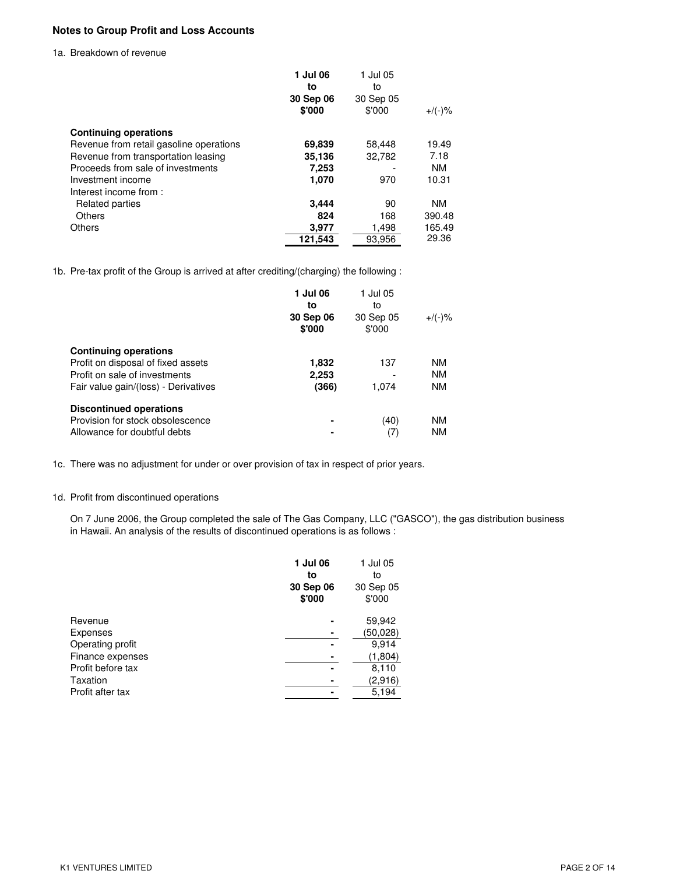# **Notes to Group Profit and Loss Accounts**

#### 1a. Breakdown of revenue

|                                         | 1 Jul 06<br>to<br>30 Sep 06<br>\$'000 | 1 Jul 05<br>to<br>30 Sep 05<br>\$'000 | $+$ /(-)% |
|-----------------------------------------|---------------------------------------|---------------------------------------|-----------|
| <b>Continuing operations</b>            |                                       |                                       |           |
| Revenue from retail gasoline operations | 69.839                                | 58.448                                | 19.49     |
| Revenue from transportation leasing     | 35,136                                | 32,782                                | 7.18      |
| Proceeds from sale of investments       | 7,253                                 |                                       | <b>NM</b> |
| Investment income                       | 1,070                                 | 970                                   | 10.31     |
| Interest income from:                   |                                       |                                       |           |
| Related parties                         | 3.444                                 | 90                                    | <b>NM</b> |
| Others                                  | 824                                   | 168                                   | 390.48    |
| <b>Others</b>                           | 3,977                                 | 1,498                                 | 165.49    |
|                                         | 121,543                               | 93.956                                | 29.36     |

1b. Pre-tax profit of the Group is arrived at after crediting/(charging) the following :

|                                      | 1 Jul 06<br>to<br>30 Sep 06<br>\$'000 | 1 Jul 05<br>to<br>30 Sep 05<br>\$'000 | $+$ /(-)% |
|--------------------------------------|---------------------------------------|---------------------------------------|-----------|
| <b>Continuing operations</b>         |                                       |                                       |           |
| Profit on disposal of fixed assets   | 1,832                                 | 137                                   | <b>NM</b> |
| Profit on sale of investments        | 2,253                                 |                                       | <b>NM</b> |
| Fair value gain/(loss) - Derivatives | (366)                                 | 1.074                                 | <b>NM</b> |
| <b>Discontinued operations</b>       |                                       |                                       |           |
| Provision for stock obsolescence     | ۰                                     | (40)                                  | <b>NM</b> |
| Allowance for doubtful debts         | ۰                                     | (7)                                   | <b>NM</b> |

1c. There was no adjustment for under or over provision of tax in respect of prior years.

# 1d. Profit from discontinued operations

On 7 June 2006, the Group completed the sale of The Gas Company, LLC ("GASCO"), the gas distribution business in Hawaii. An analysis of the results of discontinued operations is as follows :

|                   | 1 Jul 06<br>to<br>30 Sep 06 | 1 Jul 05<br>to<br>30 Sep 05 |
|-------------------|-----------------------------|-----------------------------|
|                   | \$'000                      | \$'000                      |
| Revenue           |                             | 59,942                      |
| Expenses          |                             | (50,028)                    |
| Operating profit  |                             | 9,914                       |
| Finance expenses  |                             | (1,804)                     |
| Profit before tax |                             | 8,110                       |
| Taxation          |                             | (2,916)                     |
| Profit after tax  |                             | 5,194                       |
|                   |                             |                             |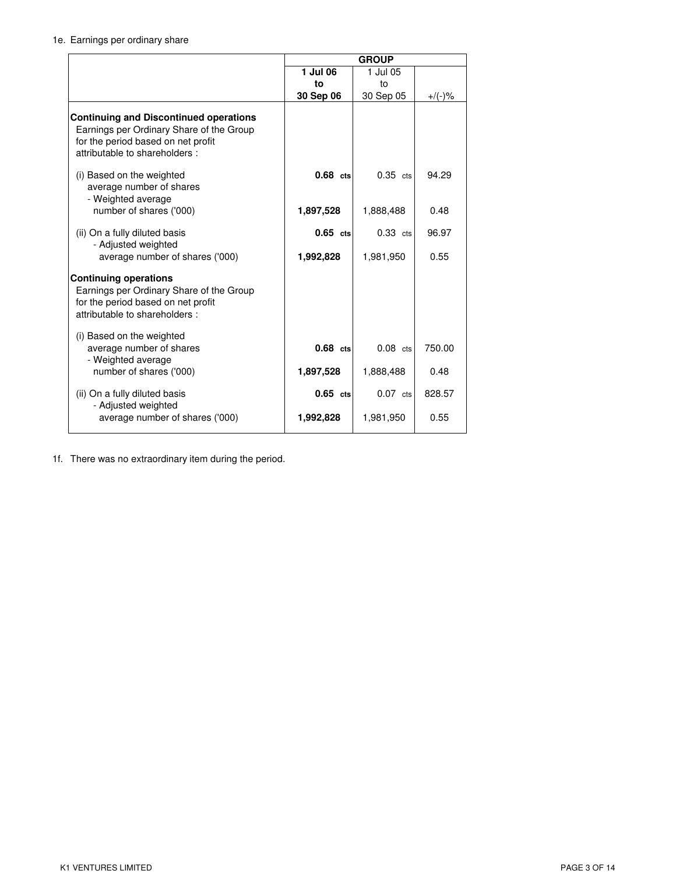# 1e. Earnings per ordinary share

|                                                                                                                                                                  | <b>GROUP</b> |                         |                |  |
|------------------------------------------------------------------------------------------------------------------------------------------------------------------|--------------|-------------------------|----------------|--|
|                                                                                                                                                                  | 1 Jul 06     | 1 Jul 05                |                |  |
|                                                                                                                                                                  | to           | to                      |                |  |
|                                                                                                                                                                  | 30 Sep 06    | 30 Sep 05               | $+$ /(-)%      |  |
| <b>Continuing and Discontinued operations</b><br>Earnings per Ordinary Share of the Group<br>for the period based on net profit<br>attributable to shareholders: |              |                         |                |  |
| (i) Based on the weighted<br>average number of shares<br>- Weighted average                                                                                      | $0.68$ cts   | $0.35$ cts              | 94.29          |  |
| number of shares ('000)                                                                                                                                          | 1,897,528    | 1,888,488               | 0.48           |  |
| (ii) On a fully diluted basis<br>- Adjusted weighted                                                                                                             | $0.65$ cts   | $0.33$ cts              | 96.97          |  |
| average number of shares ('000)                                                                                                                                  | 1,992,828    | 1,981,950               | 0.55           |  |
| <b>Continuing operations</b><br>Earnings per Ordinary Share of the Group<br>for the period based on net profit<br>attributable to shareholders:                  |              |                         |                |  |
| (i) Based on the weighted<br>average number of shares<br>- Weighted average<br>number of shares ('000)                                                           | $0.68$ cts   | $0.08$ cts<br>1,888,488 | 750.00<br>0.48 |  |
|                                                                                                                                                                  | 1,897,528    |                         |                |  |
| (ii) On a fully diluted basis<br>- Adjusted weighted                                                                                                             | $0.65$ cts   | $0.07$ cts              | 828.57         |  |
| average number of shares ('000)                                                                                                                                  | 1,992,828    | 1,981,950               | 0.55           |  |

1f. There was no extraordinary item during the period.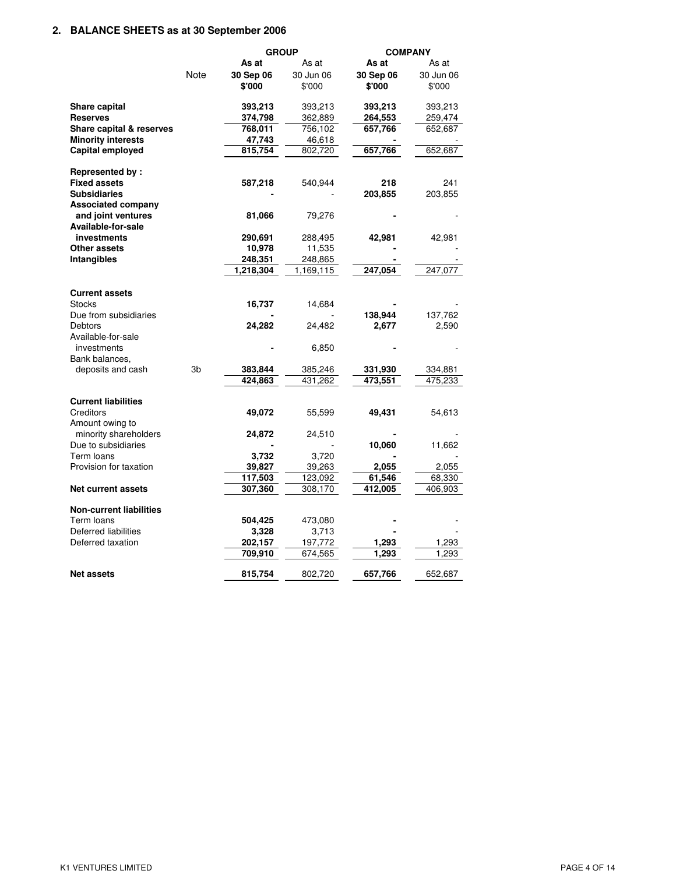# **2. BALANCE SHEETS as at 30 September 2006**

|                                                  |      | <b>COMPANY</b><br><b>GROUP</b> |           |           |           |
|--------------------------------------------------|------|--------------------------------|-----------|-----------|-----------|
|                                                  |      | As at                          | As at     | As at     | As at     |
|                                                  | Note | 30 Sep 06                      | 30 Jun 06 | 30 Sep 06 | 30 Jun 06 |
|                                                  |      | \$'000                         | \$'000    | \$'000    | \$'000    |
| Share capital                                    |      | 393,213                        | 393,213   | 393,213   | 393,213   |
| <b>Reserves</b>                                  |      | 374,798                        | 362,889   | 264,553   | 259,474   |
| Share capital & reserves                         |      | 768,011                        | 756,102   | 657,766   | 652,687   |
| <b>Minority interests</b>                        |      | 47,743                         | 46,618    |           |           |
| Capital employed                                 |      | 815.754                        | 802,720   | 657,766   | 652,687   |
| <b>Represented by:</b>                           |      |                                |           |           |           |
| <b>Fixed assets</b>                              |      | 587,218                        | 540,944   | 218       | 241       |
| <b>Subsidiaries</b><br><b>Associated company</b> |      |                                |           | 203,855   | 203,855   |
| and joint ventures                               |      | 81,066                         | 79,276    |           |           |
| Available-for-sale                               |      |                                |           |           |           |
| investments                                      |      | 290,691                        | 288,495   | 42,981    | 42,981    |
| <b>Other assets</b>                              |      | 10,978                         | 11,535    |           |           |
| Intangibles                                      |      | 248,351                        | 248,865   |           |           |
|                                                  |      | 1,218,304                      | 1,169,115 | 247,054   | 247,077   |
| <b>Current assets</b><br><b>Stocks</b>           |      | 16,737                         | 14,684    |           |           |
| Due from subsidiaries                            |      |                                |           | 138,944   | 137,762   |
| Debtors                                          |      | 24,282                         | 24,482    | 2,677     | 2,590     |
| Available-for-sale                               |      |                                |           |           |           |
| investments                                      |      |                                | 6,850     |           |           |
| Bank balances,                                   |      |                                |           |           |           |
| deposits and cash                                | 3b   | 383,844                        | 385,246   | 331,930   | 334,881   |
|                                                  |      | 424,863                        | 431,262   | 473,551   | 475,233   |
| <b>Current liabilities</b>                       |      |                                |           |           |           |
| Creditors                                        |      | 49,072                         | 55,599    | 49,431    | 54,613    |
| Amount owing to<br>minority shareholders         |      | 24,872                         | 24,510    |           |           |
| Due to subsidiaries                              |      |                                |           | 10,060    | 11,662    |
| Term loans                                       |      | 3,732                          | 3,720     |           |           |
| Provision for taxation                           |      | 39,827                         | 39,263    | 2,055     | 2,055     |
|                                                  |      | 117,503                        | 123,092   | 61,546    | 68,330    |
| Net current assets                               |      | 307,360                        | 308,170   | 412,005   | 406,903   |
| <b>Non-current liabilities</b>                   |      |                                |           |           |           |
| Term loans                                       |      | 504,425                        | 473,080   |           |           |
| Deferred liabilities                             |      | 3,328                          | 3,713     |           |           |
| Deferred taxation                                |      | 202,157                        | 197,772   | 1,293     | 1,293     |
|                                                  |      | 709,910                        | 674,565   | 1,293     | 1,293     |
| <b>Net assets</b>                                |      | 815,754                        | 802,720   | 657,766   | 652,687   |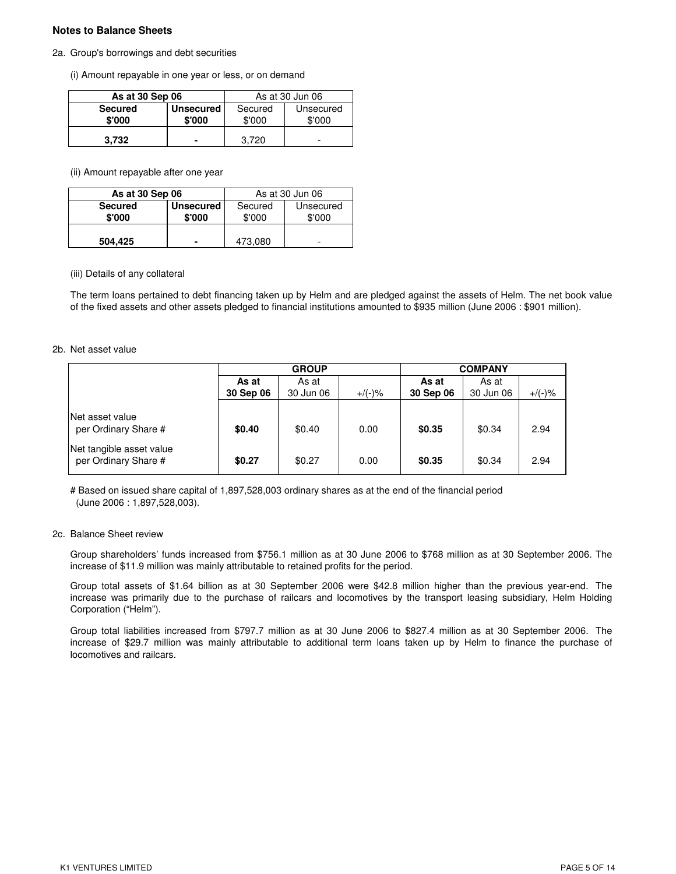## **Notes to Balance Sheets**

### 2a. Group's borrowings and debt securities

(i) Amount repayable in one year or less, or on demand

| As at 30 Sep 06 |                  | As at 30 Jun 06 |           |  |
|-----------------|------------------|-----------------|-----------|--|
| <b>Secured</b>  | <b>Unsecured</b> | Secured         | Unsecured |  |
| \$'000          | \$'000           | \$'000          | \$'000    |  |
| 3.732           | -                | 3.720           | -         |  |

(ii) Amount repayable after one year

| As at 30 Sep 06          |                            | As at 30 Jun 06   |                     |  |
|--------------------------|----------------------------|-------------------|---------------------|--|
| <b>Secured</b><br>\$'000 | <b>Unsecured</b><br>\$'000 | Secured<br>\$'000 | Unsecured<br>\$'000 |  |
| 504,425                  | -                          | 473.080           |                     |  |

#### (iii) Details of any collateral

The term loans pertained to debt financing taken up by Helm and are pledged against the assets of Helm. The net book value of the fixed assets and other assets pledged to financial institutions amounted to \$935 million (June 2006 : \$901 million).

#### 2b. Net asset value

|                                                  | <b>GROUP</b> |           |           | <b>COMPANY</b> |           |           |
|--------------------------------------------------|--------------|-----------|-----------|----------------|-----------|-----------|
|                                                  | As at        | As at     |           | As at          | As at     |           |
|                                                  | 30 Sep 06    | 30 Jun 06 | $+/(-)$ % | 30 Sep 06      | 30 Jun 06 | $+/(-)$ % |
| Net asset value<br>per Ordinary Share #          | \$0.40       | \$0.40    | 0.00      | \$0.35         | \$0.34    | 2.94      |
| Net tangible asset value<br>per Ordinary Share # | \$0.27       | \$0.27    | 0.00      | \$0.35         | \$0.34    | 2.94      |

# Based on issued share capital of 1,897,528,003 ordinary shares as at the end of the financial period (June 2006 : 1,897,528,003).

#### 2c. Balance Sheet review

Group shareholders' funds increased from \$756.1 million as at 30 June 2006 to \$768 million as at 30 September 2006. The increase of \$11.9 million was mainly attributable to retained profits for the period.

Group total assets of \$1.64 billion as at 30 September 2006 were \$42.8 million higher than the previous year-end. The increase was primarily due to the purchase of railcars and locomotives by the transport leasing subsidiary, Helm Holding Corporation ("Helm").

Group total liabilities increased from \$797.7 million as at 30 June 2006 to \$827.4 million as at 30 September 2006. The increase of \$29.7 million was mainly attributable to additional term loans taken up by Helm to finance the purchase of locomotives and railcars.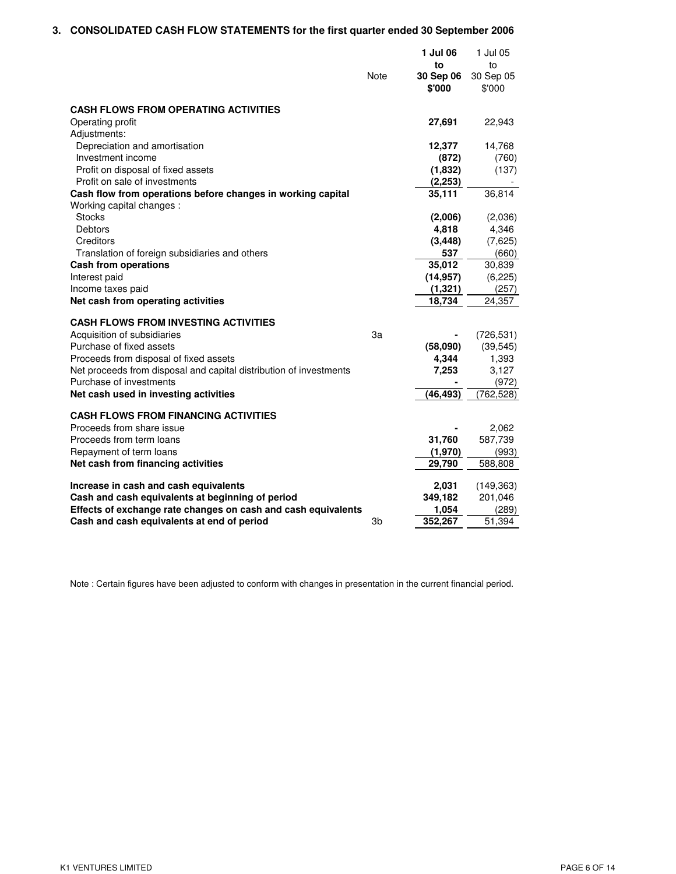# **3. CONSOLIDATED CASH FLOW STATEMENTS for the first quarter ended 30 September 2006**

|                                                                          |      | 1 Jul 06<br>to      | 1 Jul 05<br>to      |
|--------------------------------------------------------------------------|------|---------------------|---------------------|
|                                                                          | Note | 30 Sep 06<br>\$'000 | 30 Sep 05<br>\$'000 |
| <b>CASH FLOWS FROM OPERATING ACTIVITIES</b>                              |      |                     |                     |
| Operating profit                                                         |      | 27,691              | 22,943              |
| Adjustments:                                                             |      |                     |                     |
| Depreciation and amortisation                                            |      | 12,377              | 14,768              |
| Investment income                                                        |      | (872)               | (760)               |
| Profit on disposal of fixed assets                                       |      | (1,832)             | (137)               |
| Profit on sale of investments                                            |      | (2, 253)            |                     |
| Cash flow from operations before changes in working capital              |      | 35,111              | 36,814              |
| Working capital changes :                                                |      |                     |                     |
| <b>Stocks</b>                                                            |      | (2,006)             | (2,036)             |
| Debtors                                                                  |      | 4,818               | 4,346               |
| Creditors                                                                |      | (3, 448)            | (7,625)             |
| Translation of foreign subsidiaries and others                           |      | 537                 | (660)               |
| <b>Cash from operations</b>                                              |      | 35,012              | 30,839              |
| Interest paid                                                            |      | (14, 957)           | (6, 225)<br>(257)   |
| Income taxes paid<br>Net cash from operating activities                  |      | (1, 321)<br>18,734  | 24,357              |
|                                                                          |      |                     |                     |
| <b>CASH FLOWS FROM INVESTING ACTIVITIES</b>                              |      |                     |                     |
| Acquisition of subsidiaries                                              | 3a   |                     | (726, 531)          |
| Purchase of fixed assets                                                 |      | (58,090)            | (39, 545)           |
| Proceeds from disposal of fixed assets                                   |      | 4,344               | 1,393               |
| Net proceeds from disposal and capital distribution of investments       |      | 7,253               | 3,127               |
| Purchase of investments                                                  |      |                     | (972)               |
| Net cash used in investing activities                                    |      | (46,493)            | (762, 528)          |
|                                                                          |      |                     |                     |
| <b>CASH FLOWS FROM FINANCING ACTIVITIES</b><br>Proceeds from share issue |      |                     |                     |
| Proceeds from term loans                                                 |      | 31,760              | 2,062<br>587,739    |
|                                                                          |      |                     |                     |
| Repayment of term loans<br>Net cash from financing activities            |      | (1,970)<br>29,790   | (993)<br>588,808    |
|                                                                          |      |                     |                     |
| Increase in cash and cash equivalents                                    |      | 2,031               | (149, 363)          |
| Cash and cash equivalents at beginning of period                         |      | 349,182             | 201,046             |
| Effects of exchange rate changes on cash and cash equivalents            |      | 1,054               | (289)               |
| Cash and cash equivalents at end of period                               | 3b   | 352,267             | 51,394              |

Note : Certain figures have been adjusted to conform with changes in presentation in the current financial period.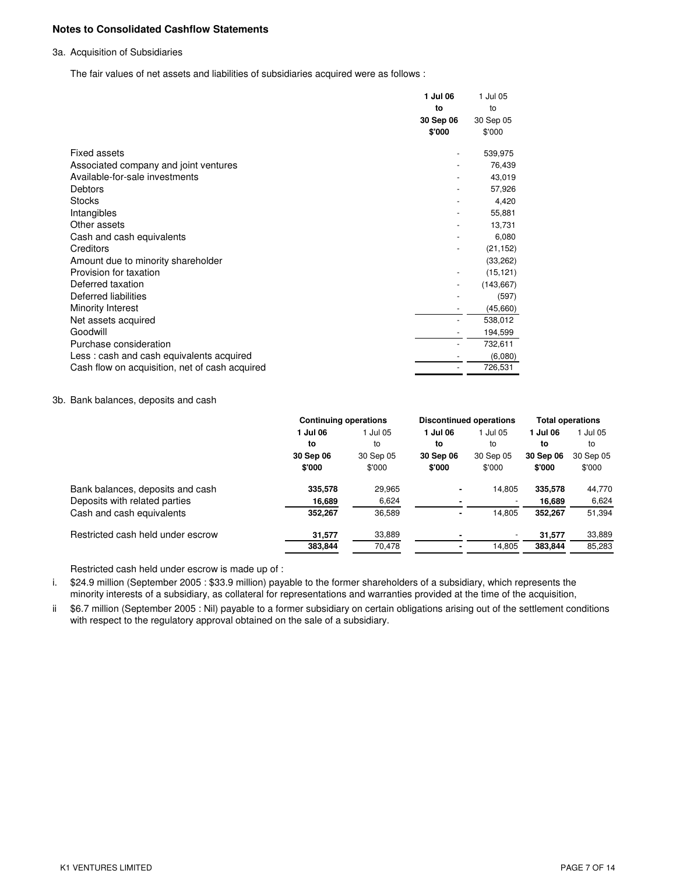## **Notes to Consolidated Cashflow Statements**

## 3a. Acquisition of Subsidiaries

The fair values of net assets and liabilities of subsidiaries acquired were as follows :

|                                                | 1 Jul 06  | 1 Jul 05   |
|------------------------------------------------|-----------|------------|
|                                                | to        | to         |
|                                                | 30 Sep 06 | 30 Sep 05  |
|                                                | \$'000    | \$'000     |
| Fixed assets                                   |           | 539,975    |
| Associated company and joint ventures          |           | 76,439     |
| Available-for-sale investments                 |           | 43,019     |
| Debtors                                        |           | 57,926     |
| <b>Stocks</b>                                  |           | 4,420      |
| Intangibles                                    |           | 55,881     |
| Other assets                                   |           | 13,731     |
| Cash and cash equivalents                      |           | 6,080      |
| Creditors                                      |           | (21, 152)  |
| Amount due to minority shareholder             |           | (33, 262)  |
| Provision for taxation                         |           | (15, 121)  |
| Deferred taxation                              |           | (143, 667) |
| Deferred liabilities                           |           | (597)      |
| Minority Interest                              |           | (45,660)   |
| Net assets acquired                            |           | 538,012    |
| Goodwill                                       |           | 194,599    |
| Purchase consideration                         |           | 732,611    |
| Less: cash and cash equivalents acquired       |           | (6,080)    |
| Cash flow on acquisition, net of cash acquired |           | 726,531    |
|                                                |           |            |

# 3b. Bank balances, deposits and cash

|                                   | <b>Continuing operations</b> |           |           | <b>Discontinued operations</b> | <b>Total operations</b> |           |
|-----------------------------------|------------------------------|-----------|-----------|--------------------------------|-------------------------|-----------|
|                                   | 1 Jul 06                     | 1 Jul 05  | 1 Jul 06  | 1 Jul 05                       | 1 Jul 06                | 1 Jul 05  |
|                                   | to                           | to        | to        | to                             | to                      | to        |
|                                   | 30 Sep 06                    | 30 Sep 05 | 30 Sep 06 | 30 Sep 05                      | 30 Sep 06               | 30 Sep 05 |
|                                   | \$'000                       | \$'000    | \$'000    | \$'000                         | \$'000                  | \$'000    |
| Bank balances, deposits and cash  | 335,578                      | 29,965    | ۰         | 14.805                         | 335,578                 | 44,770    |
| Deposits with related parties     | 16,689                       | 6,624     |           |                                | 16,689                  | 6,624     |
| Cash and cash equivalents         | 352,267                      | 36,589    | ۰         | 14,805                         | 352,267                 | 51,394    |
| Restricted cash held under escrow | 31,577                       | 33,889    |           |                                | 31.577                  | 33,889    |
|                                   | 383.844                      | 70,478    |           | 14,805                         | 383.844                 | 85,283    |

Restricted cash held under escrow is made up of :

i. \$24.9 million (September 2005 : \$33.9 million) payable to the former shareholders of a subsidiary, which represents the minority interests of a subsidiary, as collateral for representations and warranties provided at the time of the acquisition,

ii \$6.7 million (September 2005 : Nil) payable to a former subsidiary on certain obligations arising out of the settlement conditions with respect to the regulatory approval obtained on the sale of a subsidiary.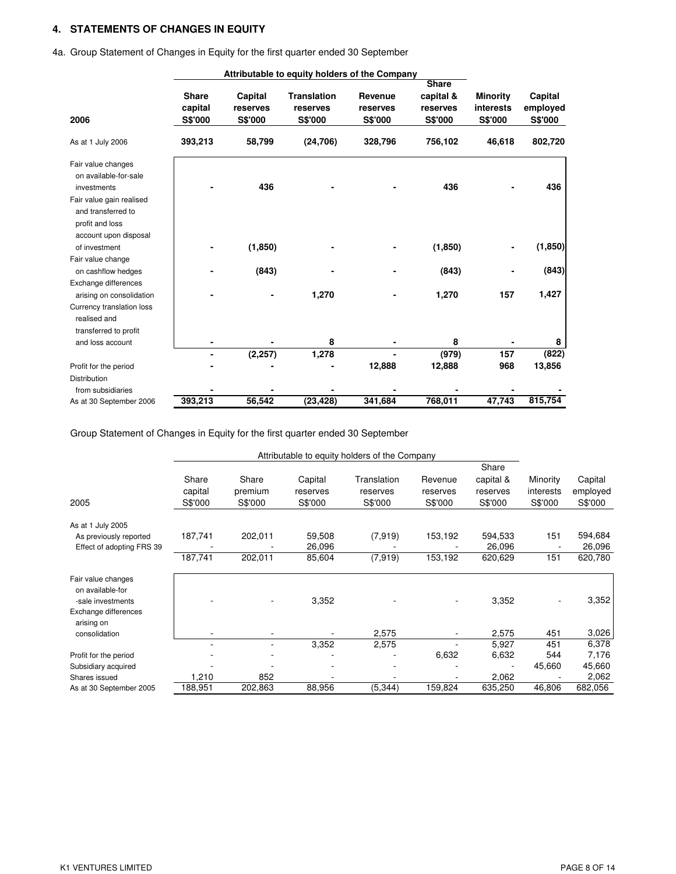# **4. STATEMENTS OF CHANGES IN EQUITY**

|                           |              |          | Attributable to equity holders of the Company |          |              |                  |          |
|---------------------------|--------------|----------|-----------------------------------------------|----------|--------------|------------------|----------|
|                           |              |          |                                               |          | <b>Share</b> |                  |          |
|                           | <b>Share</b> | Capital  | <b>Translation</b>                            | Revenue  | capital &    | <b>Minority</b>  | Capital  |
|                           | capital      | reserves | reserves                                      | reserves | reserves     | <b>interests</b> | employed |
| 2006                      | S\$'000      | S\$'000  | S\$'000                                       | S\$'000  | S\$'000      | <b>S\$'000</b>   | S\$'000  |
| As at 1 July 2006         | 393,213      | 58,799   | (24, 706)                                     | 328,796  | 756,102      | 46,618           | 802,720  |
| Fair value changes        |              |          |                                               |          |              |                  |          |
| on available-for-sale     |              |          |                                               |          |              |                  |          |
| investments               |              | 436      |                                               |          | 436          |                  | 436      |
| Fair value gain realised  |              |          |                                               |          |              |                  |          |
| and transferred to        |              |          |                                               |          |              |                  |          |
| profit and loss           |              |          |                                               |          |              |                  |          |
| account upon disposal     |              |          |                                               |          |              |                  |          |
| of investment             |              | (1,850)  |                                               |          | (1, 850)     | ۰                | (1,850)  |
| Fair value change         |              |          |                                               |          |              |                  |          |
| on cashflow hedges        |              | (843)    |                                               |          | (843)        |                  | (843)    |
| Exchange differences      |              |          |                                               |          |              |                  |          |
| arising on consolidation  |              |          | 1,270                                         |          | 1,270        | 157              | 1,427    |
| Currency translation loss |              |          |                                               |          |              |                  |          |
| realised and              |              |          |                                               |          |              |                  |          |
| transferred to profit     |              |          |                                               |          |              |                  |          |
| and loss account          |              |          | 8                                             |          | 8            |                  | 8        |
|                           |              | (2, 257) | 1,278                                         |          | (979)        | 157              | (822)    |
| Profit for the period     |              |          |                                               | 12,888   | 12,888       | 968              | 13,856   |
| <b>Distribution</b>       |              |          |                                               |          |              |                  |          |
| from subsidiaries         |              |          |                                               |          |              |                  |          |
| As at 30 September 2006   | 393,213      | 56,542   | (23, 428)                                     | 341,684  | 768,011      | 47.743           | 815,754  |

4a. Group Statement of Changes in Equity for the first quarter ended 30 September

Group Statement of Changes in Equity for the first quarter ended 30 September

| Attributable to equity holders of the Company                                       |                             |                             |                                |                                    |                                |                                           |                                  |                                |
|-------------------------------------------------------------------------------------|-----------------------------|-----------------------------|--------------------------------|------------------------------------|--------------------------------|-------------------------------------------|----------------------------------|--------------------------------|
| 2005                                                                                | Share<br>capital<br>S\$'000 | Share<br>premium<br>S\$'000 | Capital<br>reserves<br>S\$'000 | Translation<br>reserves<br>S\$'000 | Revenue<br>reserves<br>S\$'000 | Share<br>capital &<br>reserves<br>S\$'000 | Minority<br>interests<br>S\$'000 | Capital<br>employed<br>S\$'000 |
|                                                                                     |                             |                             |                                |                                    |                                |                                           |                                  |                                |
| As at 1 July 2005<br>As previously reported<br>Effect of adopting FRS 39            | 187,741                     | 202,011                     | 59,508<br>26,096               | (7,919)                            | 153,192                        | 594,533<br>26,096                         | 151                              | 594,684<br>26,096              |
|                                                                                     | 187,741                     | 202,011                     | 85,604                         | (7, 919)                           | 153,192                        | 620,629                                   | 151                              | 620,780                        |
| Fair value changes<br>on available-for<br>-sale investments<br>Exchange differences |                             |                             | 3,352                          |                                    |                                | 3,352                                     |                                  | 3,352                          |
| arising on<br>consolidation                                                         |                             |                             | 3,352                          | 2,575<br>2,575                     |                                | 2,575<br>5,927                            | 451<br>451                       | 3,026<br>6,378                 |
| Profit for the period                                                               |                             |                             |                                |                                    | 6,632                          | 6,632                                     | 544                              | 7,176                          |
| Subsidiary acquired<br>Shares issued                                                | 1,210                       | 852                         |                                |                                    |                                | 2,062                                     | 45,660                           | 45,660<br>2,062                |
| As at 30 September 2005                                                             | 188,951                     | 202,863                     | 88,956                         | (5, 344)                           | 159,824                        | 635,250                                   | 46,806                           | 682,056                        |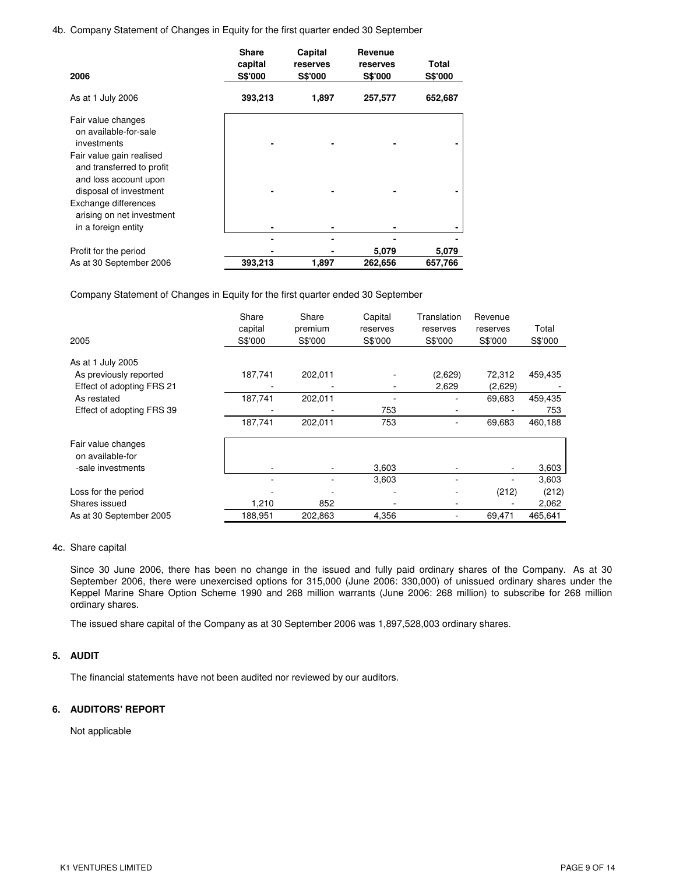4b. Company Statement of Changes in Equity for the first quarter ended 30 September

| 2006                                                                                                     | <b>Share</b><br>capital<br><b>S\$'000</b> | Capital<br>reserves<br>S\$'000 | Revenue<br>reserves<br><b>S\$'000</b> | Total<br><b>S\$'000</b> |
|----------------------------------------------------------------------------------------------------------|-------------------------------------------|--------------------------------|---------------------------------------|-------------------------|
| As at 1 July 2006                                                                                        | 393,213                                   | 1,897                          | 257,577                               | 652,687                 |
| Fair value changes<br>on available-for-sale                                                              |                                           |                                |                                       |                         |
| investments                                                                                              |                                           |                                |                                       |                         |
| Fair value gain realised<br>and transferred to profit<br>and loss account upon<br>disposal of investment |                                           |                                |                                       |                         |
| Exchange differences                                                                                     |                                           |                                |                                       |                         |
| arising on net investment                                                                                |                                           |                                |                                       |                         |
| in a foreign entity                                                                                      |                                           |                                |                                       |                         |
|                                                                                                          |                                           |                                |                                       |                         |
| Profit for the period                                                                                    |                                           |                                | 5,079                                 | 5,079                   |
| As at 30 September 2006                                                                                  | 393,213                                   | 1,897                          | 262,656                               | 657,766                 |

Company Statement of Changes in Equity for the first quarter ended 30 September

|                                        | Share<br>capital | Share<br>premium | Capital<br>reserves | Translation<br>reserves | Revenue<br>reserves | Total   |
|----------------------------------------|------------------|------------------|---------------------|-------------------------|---------------------|---------|
| 2005                                   | S\$'000          | S\$'000          | S\$'000             | S\$'000                 | S\$'000             | S\$'000 |
| As at 1 July 2005                      |                  |                  |                     |                         |                     |         |
| As previously reported                 | 187,741          | 202,011          |                     | (2,629)                 | 72,312              | 459,435 |
| Effect of adopting FRS 21              |                  |                  |                     | 2,629                   | (2,629)             |         |
| As restated                            | 187,741          | 202,011          |                     |                         | 69,683              | 459,435 |
| Effect of adopting FRS 39              |                  |                  | 753                 |                         |                     | 753     |
|                                        | 187,741          | 202,011          | 753                 |                         | 69,683              | 460,188 |
| Fair value changes<br>on available-for |                  |                  |                     |                         |                     |         |
| -sale investments                      |                  |                  | 3,603               |                         |                     | 3,603   |
|                                        |                  |                  | 3,603               |                         |                     | 3,603   |
| Loss for the period                    |                  |                  |                     |                         | (212)               | (212)   |
| Shares issued                          | 1,210            | 852              |                     |                         |                     | 2,062   |
| As at 30 September 2005                | 188,951          | 202,863          | 4,356               |                         | 69,471              | 465,641 |

### 4c. Share capital

Since 30 June 2006, there has been no change in the issued and fully paid ordinary shares of the Company. As at 30 September 2006, there were unexercised options for 315,000 (June 2006: 330,000) of unissued ordinary shares under the Keppel Marine Share Option Scheme 1990 and 268 million warrants (June 2006: 268 million) to subscribe for 268 million ordinary shares.

The issued share capital of the Company as at 30 September 2006 was 1,897,528,003 ordinary shares.

## **5. AUDIT**

The financial statements have not been audited nor reviewed by our auditors.

## **6. AUDITORS' REPORT**

Not applicable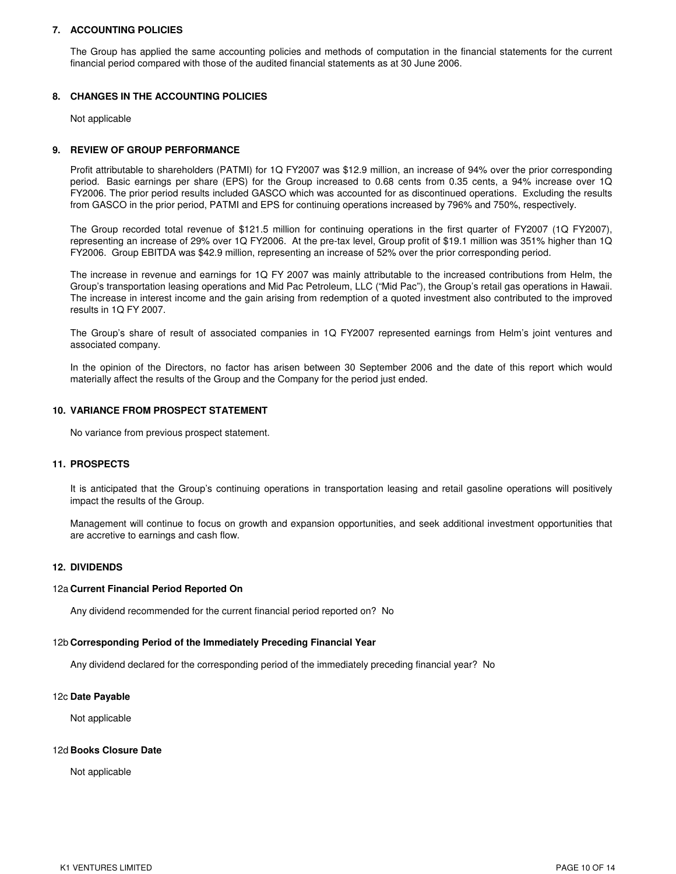## **7. ACCOUNTING POLICIES**

The Group has applied the same accounting policies and methods of computation in the financial statements for the current financial period compared with those of the audited financial statements as at 30 June 2006.

## **8. CHANGES IN THE ACCOUNTING POLICIES**

Not applicable

### **9. REVIEW OF GROUP PERFORMANCE**

Profit attributable to shareholders (PATMI) for 1Q FY2007 was \$12.9 million, an increase of 94% over the prior corresponding period. Basic earnings per share (EPS) for the Group increased to 0.68 cents from 0.35 cents, a 94% increase over 1Q FY2006. The prior period results included GASCO which was accounted for as discontinued operations. Excluding the results from GASCO in the prior period, PATMI and EPS for continuing operations increased by 796% and 750%, respectively.

The Group recorded total revenue of \$121.5 million for continuing operations in the first quarter of FY2007 (1Q FY2007), representing an increase of 29% over 1Q FY2006. At the pre-tax level, Group profit of \$19.1 million was 351% higher than 1Q FY2006. Group EBITDA was \$42.9 million, representing an increase of 52% over the prior corresponding period.

The increase in revenue and earnings for 1Q FY 2007 was mainly attributable to the increased contributions from Helm, the Group's transportation leasing operations and Mid Pac Petroleum, LLC ("Mid Pac"), the Group's retail gas operations in Hawaii. The increase in interest income and the gain arising from redemption of a quoted investment also contributed to the improved results in 1Q FY 2007.

The Group's share of result of associated companies in 1Q FY2007 represented earnings from Helm's joint ventures and associated company.

In the opinion of the Directors, no factor has arisen between 30 September 2006 and the date of this report which would materially affect the results of the Group and the Company for the period just ended.

### **10. VARIANCE FROM PROSPECT STATEMENT**

No variance from previous prospect statement.

### **11. PROSPECTS**

It is anticipated that the Group's continuing operations in transportation leasing and retail gasoline operations will positively impact the results of the Group.

Management will continue to focus on growth and expansion opportunities, and seek additional investment opportunities that are accretive to earnings and cash flow.

#### **12. DIVIDENDS**

#### 12a.**Current Financial Period Reported On**

Any dividend recommended for the current financial period reported on? No

#### 12b.**Corresponding Period of the Immediately Preceding Financial Year**

Any dividend declared for the corresponding period of the immediately preceding financial year? No

#### 12c.**Date Payable**

Not applicable

#### 12d.**Books Closure Date**

Not applicable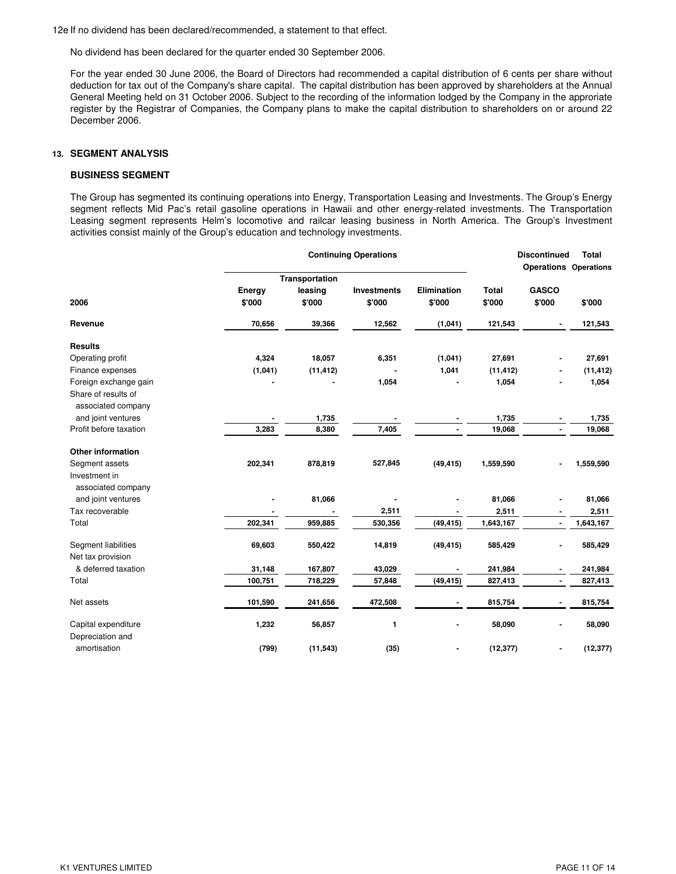12e If no dividend has been declared/recommended, a statement to that effect.

No dividend has been declared for the quarter ended 30 September 2006.

For the year ended 30 June 2006, the Board of Directors had recommended a capital distribution of 6 cents per share without deduction for tax out of the Company's share capital. The capital distribution has been approved by shareholders at the Annual General Meeting held on 31 October 2006. Subject to the recording of the information lodged by the Company in the approriate register by the Registrar of Companies, the Company plans to make the capital distribution to shareholders on or around 22 December 2006.

### **13. SEGMENT ANALYSIS**

## **BUSINESS SEGMENT**

The Group has segmented its continuing operations into Energy, Transportation Leasing and Investments. The Group's Energy segment reflects Mid Pac's retail gasoline operations in Hawaii and other energy-related investments. The Transportation Leasing segment represents Helm's locomotive and railcar leasing business in North America. The Group's Investment activities consist mainly of the Group's education and technology investments.

|                                           |                  |                       | <b>Continuing Operations</b> |                       | <b>Discontinued</b>    | <b>Total</b><br><b>Operations Operations</b> |           |
|-------------------------------------------|------------------|-----------------------|------------------------------|-----------------------|------------------------|----------------------------------------------|-----------|
|                                           |                  | <b>Transportation</b> |                              |                       |                        |                                              |           |
| 2006                                      | Energy<br>\$'000 | leasing<br>\$'000     | Investments<br>\$'000        | Elimination<br>\$'000 | <b>Total</b><br>\$'000 | <b>GASCO</b><br>\$'000                       | \$'000    |
| Revenue                                   | 70,656           | 39,366                | 12,562                       | (1,041)               | 121,543                |                                              | 121,543   |
| <b>Results</b>                            |                  |                       |                              |                       |                        |                                              |           |
| Operating profit                          | 4,324            | 18,057                | 6,351                        | (1,041)               | 27,691                 |                                              | 27,691    |
| Finance expenses                          | (1,041)          | (11, 412)             |                              | 1,041                 | (11, 412)              |                                              | (11, 412) |
| Foreign exchange gain                     |                  |                       | 1,054                        |                       | 1,054                  |                                              | 1,054     |
| Share of results of<br>associated company |                  |                       |                              |                       |                        |                                              |           |
| and joint ventures                        |                  | 1,735                 |                              |                       | 1,735                  |                                              | 1,735     |
| Profit before taxation                    | 3,283            | 8,380                 | 7,405                        |                       | 19,068                 | $\overline{\phantom{a}}$                     | 19,068    |
| <b>Other information</b>                  |                  |                       |                              |                       |                        |                                              |           |
| Segment assets                            | 202,341          | 878,819               | 527,845                      | (49, 415)             | 1,559,590              |                                              | 1,559,590 |
| Investment in                             |                  |                       |                              |                       |                        |                                              |           |
| associated company<br>and joint ventures  |                  | 81,066                |                              |                       | 81,066                 |                                              | 81,066    |
| Tax recoverable                           |                  |                       | 2,511                        |                       | 2,511                  | $\blacksquare$                               | 2,511     |
| Total                                     | 202,341          | 959,885               | 530,356                      | (49, 415)             | 1,643,167              | $\blacksquare$                               | 1,643,167 |
| Segment liabilities<br>Net tax provision  | 69,603           | 550,422               | 14,819                       | (49, 415)             | 585,429                |                                              | 585,429   |
| & deferred taxation                       | 31,148           | 167,807               | 43,029                       |                       | 241,984                |                                              | 241,984   |
| Total                                     | 100,751          | 718,229               | 57,848                       | (49, 415)             | 827,413                | $\blacksquare$                               | 827,413   |
| Net assets                                | 101,590          | 241,656               | 472,508                      |                       | 815,754                |                                              | 815,754   |
| Capital expenditure                       | 1,232            | 56,857                | 1                            |                       | 58,090                 | $\qquad \qquad \blacksquare$                 | 58,090    |
| Depreciation and                          |                  |                       |                              |                       |                        |                                              |           |
| amortisation                              | (799)            | (11, 543)             | (35)                         |                       | (12, 377)              |                                              | (12, 377) |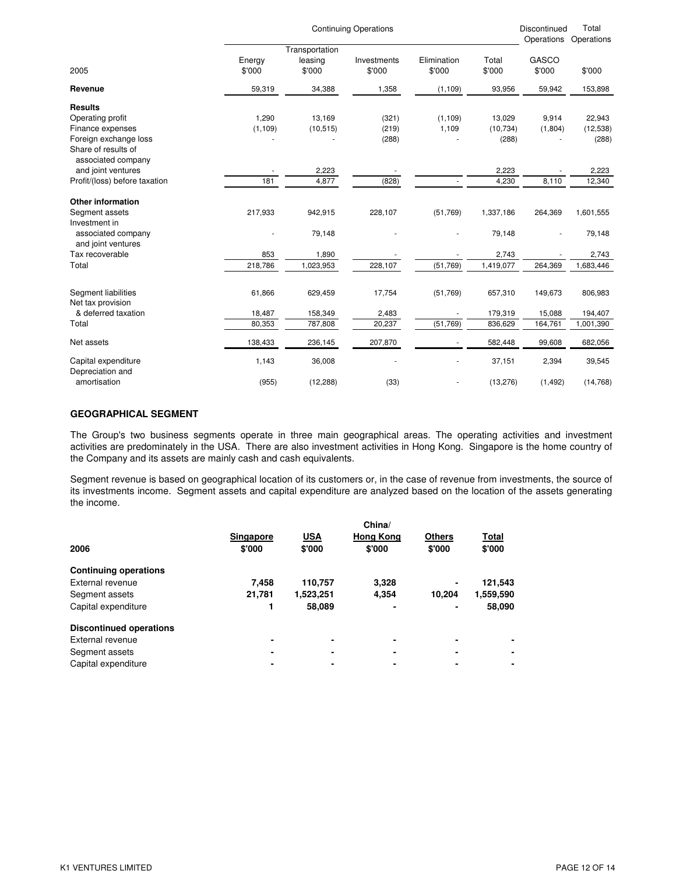|                                                                                                                              |                            |                                     | <b>Continuing Operations</b> |                       |                               | Discontinued<br>Operations   | Total<br>Operations             |
|------------------------------------------------------------------------------------------------------------------------------|----------------------------|-------------------------------------|------------------------------|-----------------------|-------------------------------|------------------------------|---------------------------------|
| 2005                                                                                                                         | Energy<br>\$'000           | Transportation<br>leasing<br>\$'000 | Investments<br>\$'000        | Elimination<br>\$'000 | Total<br>\$'000               | GASCO<br>\$'000              | \$'000                          |
| Revenue                                                                                                                      | 59,319                     | 34,388                              | 1,358                        | (1, 109)              | 93,956                        | 59,942                       | 153,898                         |
| <b>Results</b><br>Operating profit<br>Finance expenses<br>Foreign exchange loss<br>Share of results of<br>associated company | 1,290<br>(1, 109)          | 13,169<br>(10, 515)                 | (321)<br>(219)<br>(288)      | (1, 109)<br>1,109     | 13,029<br>(10, 734)<br>(288)  | 9,914<br>(1,804)             | 22,943<br>(12, 538)<br>(288)    |
| and joint ventures                                                                                                           |                            | 2,223                               |                              |                       | 2,223                         |                              | 2,223                           |
| Profit/(loss) before taxation                                                                                                | 181                        | 4,877                               | (828)                        | $\mathbf{r}$          | 4,230                         | 8,110                        | 12,340                          |
| <b>Other information</b><br>Segment assets<br>Investment in<br>associated company<br>and joint ventures<br>Tax recoverable   | 217,933<br>853             | 942,915<br>79,148<br>1,890          | 228,107                      | (51,769)              | 1,337,186<br>79,148<br>2,743  | 264,369                      | 1,601,555<br>79,148<br>2,743    |
| Total                                                                                                                        | 218,786                    | 1,023,953                           | 228,107                      | (51,769)              | 1,419,077                     | 264,369                      | 1,683,446                       |
| Segment liabilities<br>Net tax provision<br>& deferred taxation<br>Total                                                     | 61,866<br>18,487<br>80,353 | 629,459<br>158,349<br>787,808       | 17,754<br>2,483<br>20,237    | (51,769)<br>(51,769)  | 657,310<br>179,319<br>836,629 | 149,673<br>15,088<br>164,761 | 806,983<br>194,407<br>1,001,390 |
| Net assets                                                                                                                   | 138,433                    | 236,145                             | 207,870                      |                       | 582,448                       | 99,608                       | 682,056                         |
| Capital expenditure<br>Depreciation and<br>amortisation                                                                      | 1,143<br>(955)             | 36,008<br>(12, 288)                 | (33)                         | ÷,                    | 37,151<br>(13, 276)           | 2,394<br>(1, 492)            | 39,545<br>(14,768)              |

## **GEOGRAPHICAL SEGMENT**

The Group's two business segments operate in three main geographical areas. The operating activities and investment activities are predominately in the USA. There are also investment activities in Hong Kong. Singapore is the home country of the Company and its assets are mainly cash and cash equivalents.

Segment revenue is based on geographical location of its customers or, in the case of revenue from investments, the source of its investments income. Segment assets and capital expenditure are analyzed based on the location of the assets generating the income.

|                                | Singapore | <b>USA</b> | China/<br><b>Hong Kong</b> | <b>Others</b> | Total          |
|--------------------------------|-----------|------------|----------------------------|---------------|----------------|
| 2006                           | \$'000    | \$'000     | \$'000                     | \$'000        | \$'000         |
| <b>Continuing operations</b>   |           |            |                            |               |                |
| External revenue               | 7.458     | 110,757    | 3,328                      | ۰             | 121,543        |
| Segment assets                 | 21,781    | 1,523,251  | 4,354                      | 10.204        | 1,559,590      |
| Capital expenditure            |           | 58,089     | ۰                          |               | 58,090         |
| <b>Discontinued operations</b> |           |            |                            |               |                |
| External revenue               |           | -          |                            | -             |                |
| Segment assets                 |           |            |                            | -             |                |
| Capital expenditure            |           |            | ۰                          |               | $\blacksquare$ |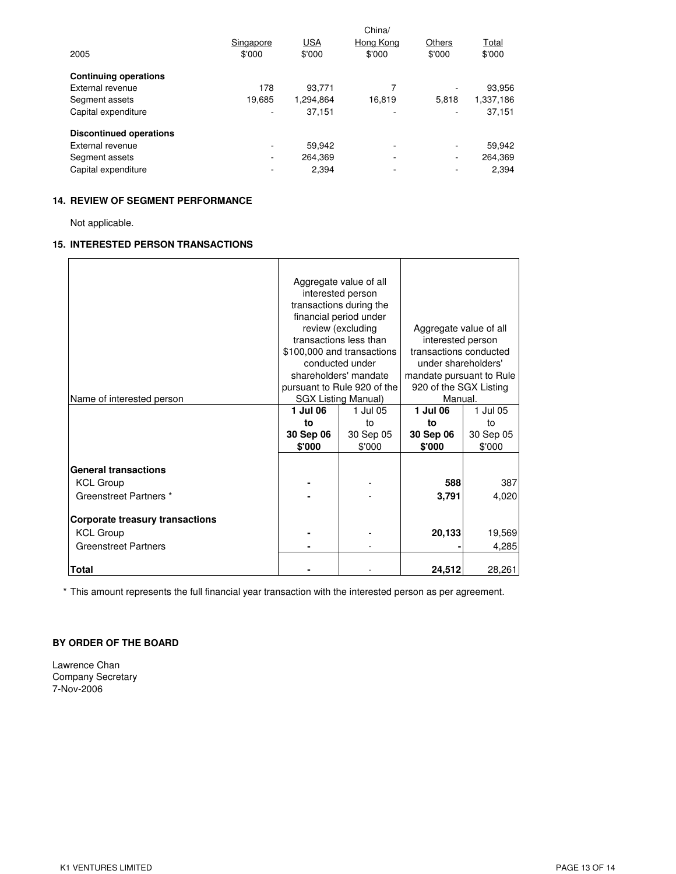| 2005                           | Singapore<br>\$'000 | <b>USA</b><br>\$'000 | China/<br>Hong Kong<br>\$'000 | Others<br>\$'000 | Total<br>\$'000 |
|--------------------------------|---------------------|----------------------|-------------------------------|------------------|-----------------|
| <b>Continuing operations</b>   |                     |                      |                               |                  |                 |
| External revenue               | 178                 | 93.771               |                               |                  | 93,956          |
| Segment assets                 | 19,685              | 1.294.864            | 16,819                        | 5.818            | 1,337,186       |
| Capital expenditure            | ۰                   | 37,151               | ٠                             |                  | 37,151          |
| <b>Discontinued operations</b> |                     |                      |                               |                  |                 |
| External revenue               | ۰.                  | 59.942               | ۰                             | ۰                | 59,942          |
| Segment assets                 | ۰                   | 264.369              | ۰                             | ٠                | 264,369         |
| Capital expenditure            |                     | 2,394                |                               | ٠                | 2,394           |

# **14. REVIEW OF SEGMENT PERFORMANCE**

Not applicable.

# **15. INTERESTED PERSON TRANSACTIONS**

| Name of interested person                                                                                                                                                              | 1 Jul 06<br>to<br>30 Sep 06<br>\$'000 | Aggregate value of all<br>interested person<br>transactions during the<br>financial period under<br>review (excluding<br>transactions less than<br>\$100,000 and transactions<br>conducted under<br>shareholders' mandate<br>pursuant to Rule 920 of the<br><b>SGX Listing Manual)</b><br>1 Jul 05<br>to<br>30 Sep 05<br>\$'000 | Aggregate value of all<br>interested person<br>transactions conducted<br>under shareholders'<br>mandate pursuant to Rule<br>920 of the SGX Listing<br>Manual.<br>1 Jul 06<br>to<br>30 Sep 06<br>\$'000 | 1 Jul 05<br>to<br>30 Sep 05<br>\$'000     |
|----------------------------------------------------------------------------------------------------------------------------------------------------------------------------------------|---------------------------------------|---------------------------------------------------------------------------------------------------------------------------------------------------------------------------------------------------------------------------------------------------------------------------------------------------------------------------------|--------------------------------------------------------------------------------------------------------------------------------------------------------------------------------------------------------|-------------------------------------------|
| <b>General transactions</b><br><b>KCL Group</b><br>Greenstreet Partners *<br><b>Corporate treasury transactions</b><br><b>KCL Group</b><br><b>Greenstreet Partners</b><br><b>Total</b> |                                       |                                                                                                                                                                                                                                                                                                                                 | 588<br>3,791<br>20,133<br>24,512                                                                                                                                                                       | 387<br>4,020<br>19,569<br>4,285<br>28,261 |

\* This amount represents the full financial year transaction with the interested person as per agreement.

# **BY ORDER OF THE BOARD**

Lawrence Chan Company Secretary 7-Nov-2006